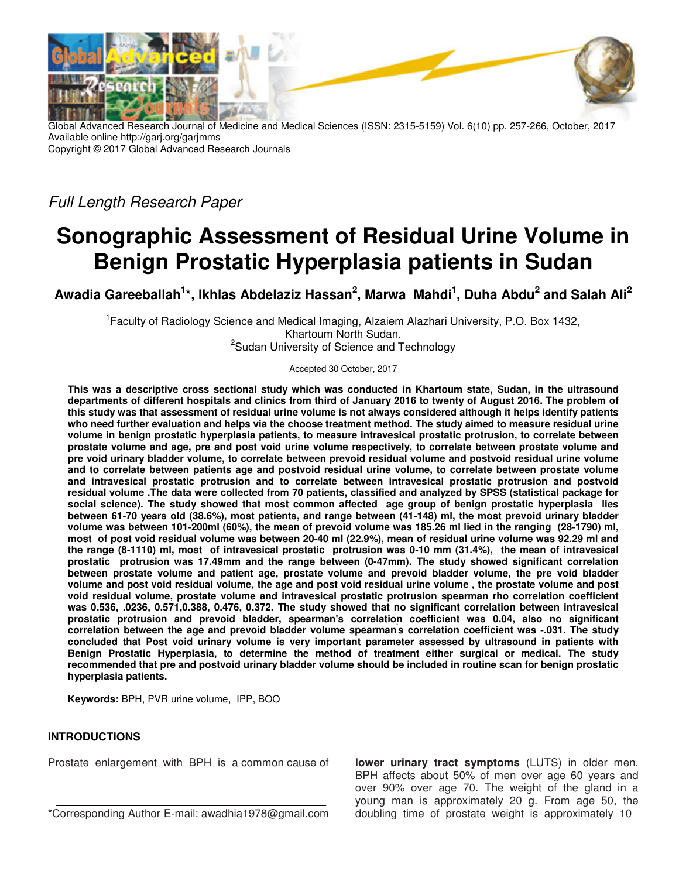

Global Advanced Research Journal of Medicine and Medical Sciences (ISSN: 2315-5159) Vol. 6(10) pp. 257-266, October, 2017 Available online http://garj.org/garjmms Copyright © 2017 Global Advanced Research Journals

Full Length Research Paper

# **Sonographic Assessment of Residual Urine Volume in Benign Prostatic Hyperplasia patients in Sudan**

**Awadia Gareeballah<sup>1</sup> \*, Ikhlas Abdelaziz Hassan<sup>2</sup> , Marwa Mahdi<sup>1</sup> , Duha Abdu<sup>2</sup> and Salah Ali<sup>2</sup>**

<sup>1</sup> Faculty of Radiology Science and Medical Imaging, Alzaiem Alazhari University, P.O. Box 1432, Khartoum North Sudan. <sup>2</sup>Sudan University of Science and Technology

Accepted 30 October, 2017

**This was a descriptive cross sectional study which was conducted in Khartoum state, Sudan, in the ultrasound departments of different hospitals and clinics from third of January 2016 to twenty of August 2016. The problem of this study was that assessment of residual urine volume is not always considered although it helps identify patients who need further evaluation and helps via the choose treatment method. The study aimed to measure residual urine volume in benign prostatic hyperplasia patients, to measure intravesical prostatic protrusion, to correlate between prostate volume and age, pre and post void urine volume respectively, to correlate between prostate volume and pre void urinary bladder volume, to correlate between prevoid residual volume and postvoid residual urine volume and to correlate between patients age and postvoid residual urine volume, to correlate between prostate volume and intravesical prostatic protrusion and to correlate between intravesical prostatic protrusion and postvoid residual volume .The data were collected from 70 patients, classified and analyzed by SPSS (statistical package for social science). The study showed that most common affected age group of benign prostatic hyperplasia lies between 61-70 years old (38.6%), most patients, and range between (41-148) ml, the most prevoid urinary bladder volume was between 101-200ml (60%), the mean of prevoid volume was 185.26 ml lied in the ranging (28-1790) ml, most of post void residual volume was between 20-40 ml (22.9%), mean of residual urine volume was 92.29 ml and the range (8-1110) ml, most of intravesical prostatic protrusion was 0-10 mm (31.4%), the mean of intravesical prostatic protrusion was 17.49mm and the range between (0-47mm). The study showed significant correlation between prostate volume and patient age, prostate volume and prevoid bladder volume, the pre void bladder volume and post void residual volume, the age and post void residual urine volume , the prostate volume and post void residual volume, prostate volume and intravesical prostatic protrusion spearman rho correlation coefficient was 0.536, .0236, 0.571,0.388, 0.476, 0.372. The study showed that no significant correlation between intravesical prostatic protrusion and prevoid bladder, spearman's correlation coefficient was 0.04, also no significant correlation between the age and prevoid bladder volume spearman' s correlation coefficient was -.031. The study concluded that Post void urinary volume is very important parameter assessed by ultrasound in patients with Benign Prostatic Hyperplasia, to determine the method of treatment either surgical or medical. The study recommended that pre and postvoid urinary bladder volume should be included in routine scan for benign prostatic hyperplasia patients.** 

**Keywords:** BPH, PVR urine volume, IPP, BOO

## **INTRODUCTIONS**

Prostate enlargement with BPH is a common cause of

\*Corresponding Author E-mail: awadhia1978@gmail.com

**lower urinary tract symptoms** (LUTS) in older men. BPH affects about 50% of men over age 60 years and over 90% over age 70. The weight of the gland in a young man is approximately 20 g. From age 50, the doubling time of prostate weight is approximately 10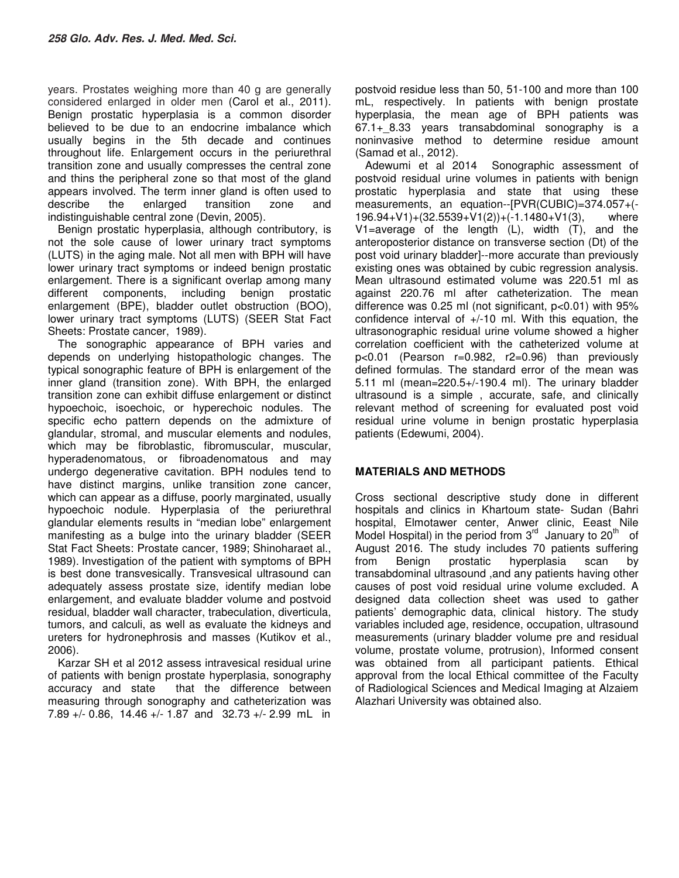years. Prostates weighing more than 40 g are generally considered enlarged in older men (Carol et al., 2011). Benign prostatic hyperplasia is a common disorder believed to be due to an endocrine imbalance which usually begins in the 5th decade and continues throughout life. Enlargement occurs in the periurethral transition zone and usually compresses the central zone and thins the peripheral zone so that most of the gland appears involved. The term inner gland is often used to describe the enlarged transition zone and indistinguishable central zone (Devin, 2005).

Benign prostatic hyperplasia, although contributory, is not the sole cause of lower urinary tract symptoms (LUTS) in the aging male. Not all men with BPH will have lower urinary tract symptoms or indeed benign prostatic enlargement. There is a significant overlap among many different components, including benign prostatic enlargement (BPE), bladder outlet obstruction (BOO), lower urinary tract symptoms (LUTS) (SEER Stat Fact Sheets: Prostate cancer, 1989).

The sonographic appearance of BPH varies and depends on underlying histopathologic changes. The typical sonographic feature of BPH is enlargement of the inner gland (transition zone). With BPH, the enlarged transition zone can exhibit diffuse enlargement or distinct hypoechoic, isoechoic, or hyperechoic nodules. The specific echo pattern depends on the admixture of glandular, stromal, and muscular elements and nodules, which may be fibroblastic, fibromuscular, muscular, hyperadenomatous, or fibroadenomatous and may undergo degenerative cavitation. BPH nodules tend to have distinct margins, unlike transition zone cancer, which can appear as a diffuse, poorly marginated, usually hypoechoic nodule. Hyperplasia of the periurethral glandular elements results in "median lobe" enlargement manifesting as a bulge into the urinary bladder (SEER Stat Fact Sheets: Prostate cancer, 1989; Shinoharaet al., 1989). Investigation of the patient with symptoms of BPH is best done transvesically. Transvesical ultrasound can adequately assess prostate size, identify median lobe enlargement, and evaluate bladder volume and postvoid residual, bladder wall character, trabeculation, diverticula, tumors, and calculi, as well as evaluate the kidneys and ureters for hydronephrosis and masses (Kutikov et al., 2006).

Karzar SH et al 2012 assess intravesical residual urine of patients with benign prostate hyperplasia, sonography accuracy and state that the difference between measuring through sonography and catheterization was 7.89 +/- 0.86, 14.46 +/- 1.87 and 32.73 +/- 2.99 mL in

postvoid residue less than 50, 51-100 and more than 100 mL, respectively. In patients with benign prostate hyperplasia, the mean age of BPH patients was 67.1+\_8.33 years transabdominal sonography is a noninvasive method to determine residue amount (Samad et al., 2012).

Adewumi et al 2014 Sonographic assessment of postvoid residual urine volumes in patients with benign prostatic hyperplasia and state that using these measurements, an equation--[PVR(CUBIC)=374.057+(- 196.94+V1)+(32.5539+V1(2))+(-1.1480+V1(3), where V1=average of the length (L), width (T), and the anteroposterior distance on transverse section (Dt) of the post void urinary bladder]--more accurate than previously existing ones was obtained by cubic regression analysis. Mean ultrasound estimated volume was 220.51 ml as against 220.76 ml after catheterization. The mean difference was 0.25 ml (not significant, p<0.01) with 95% confidence interval of  $+/-10$  ml. With this equation, the ultrasonographic residual urine volume showed a higher correlation coefficient with the catheterized volume at p<0.01 (Pearson r=0.982, r2=0.96) than previously defined formulas. The standard error of the mean was 5.11 ml (mean=220.5+/-190.4 ml). The urinary bladder ultrasound is a simple , accurate, safe, and clinically relevant method of screening for evaluated post void residual urine volume in benign prostatic hyperplasia patients (Edewumi, 2004).

## **MATERIALS AND METHODS**

Cross sectional descriptive study done in different hospitals and clinics in Khartoum state- Sudan (Bahri hospital, Elmotawer center, Anwer clinic, Eeast Nile Model Hospital) in the period from  $3<sup>rd</sup>$  January to  $20<sup>th</sup>$  of August 2016. The study includes 70 patients suffering from Benign prostatic hyperplasia scan by transabdominal ultrasound ,and any patients having other causes of post void residual urine volume excluded. A designed data collection sheet was used to gather patients' demographic data, clinical history. The study variables included age, residence, occupation, ultrasound measurements (urinary bladder volume pre and residual volume, prostate volume, protrusion), Informed consent was obtained from all participant patients. Ethical approval from the local Ethical committee of the Faculty of Radiological Sciences and Medical Imaging at Alzaiem Alazhari University was obtained also.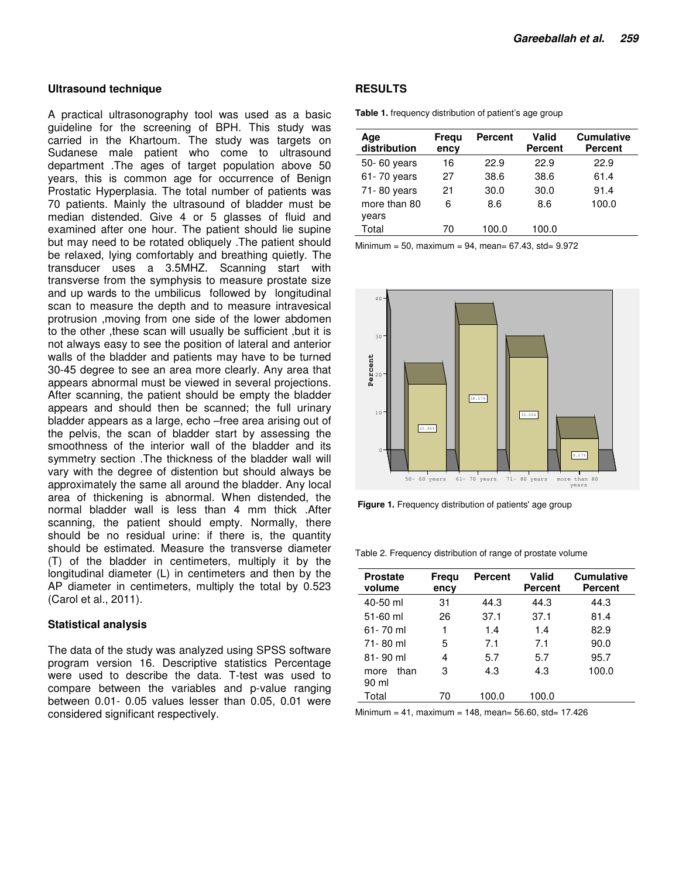#### **Ultrasound technique**

A practical ultrasonography tool was used as a basic guideline for the screening of BPH. This study was carried in the Khartoum. The study was targets on Sudanese male patient who come to ultrasound department .The ages of target population above 50 years, this is common age for occurrence of Benign Prostatic Hyperplasia. The total number of patients was 70 patients. Mainly the ultrasound of bladder must be median distended. Give 4 or 5 glasses of fluid and examined after one hour. The patient should lie supine but may need to be rotated obliquely .The patient should be relaxed, lying comfortably and breathing quietly. The transducer uses a 3.5MHZ. Scanning start with transverse from the symphysis to measure prostate size and up wards to the umbilicus followed by longitudinal scan to measure the depth and to measure intravesical protrusion ,moving from one side of the lower abdomen to the other ,these scan will usually be sufficient ,but it is not always easy to see the position of lateral and anterior walls of the bladder and patients may have to be turned 30-45 degree to see an area more clearly. Any area that appears abnormal must be viewed in several projections. After scanning, the patient should be empty the bladder appears and should then be scanned; the full urinary bladder appears as a large, echo –free area arising out of the pelvis, the scan of bladder start by assessing the smoothness of the interior wall of the bladder and its symmetry section .The thickness of the bladder wall will vary with the degree of distention but should always be approximately the same all around the bladder. Any local area of thickening is abnormal. When distended, the normal bladder wall is less than 4 mm thick .After scanning, the patient should empty. Normally, there should be no residual urine: if there is, the quantity should be estimated. Measure the transverse diameter (T) of the bladder in centimeters, multiply it by the longitudinal diameter (L) in centimeters and then by the AP diameter in centimeters, multiply the total by 0.523 (Carol et al., 2011).

#### **Statistical analysis**

The data of the study was analyzed using SPSS software program version 16. Descriptive statistics Percentage were used to describe the data. T-test was used to compare between the variables and p-value ranging between 0.01- 0.05 values lesser than 0.05, 0.01 were considered significant respectively.

#### **RESULTS**

**Table 1.** frequency distribution of patient's age group

| Age<br>distribution   | Fregu<br>ency | <b>Percent</b> | Valid<br><b>Percent</b> | <b>Cumulative</b><br><b>Percent</b> |
|-----------------------|---------------|----------------|-------------------------|-------------------------------------|
| 50-60 years           | 16            | 22.9           | 22.9                    | 22.9                                |
| 61-70 years           | 27            | 38.6           | 38.6                    | 61.4                                |
| 71-80 years           | 21            | 30.0           | 30.0                    | 91.4                                |
| more than 80<br>years | 6             | 8.6            | 8.6                     | 100.0                               |
| Total                 | 70            | 100.0          | 100.0                   |                                     |

Minimum = 50, maximum = 94, mean=  $67.43$ , std=  $9.972$ 



 **Figure 1.** Frequency distribution of patients' age group

Table 2. Frequency distribution of range of prostate volume

| <b>Prostate</b><br>volume | Frequ<br>ency | <b>Percent</b> | Valid<br>Percent | <b>Cumulative</b><br><b>Percent</b> |
|---------------------------|---------------|----------------|------------------|-------------------------------------|
| $40-50$ ml                | 31            | 44.3           | 44.3             | 44.3                                |
| $51-60$ ml                | 26            | 37.1           | 37.1             | 81.4                                |
| $61 - 70$ ml              | 1             | 1.4            | 1.4              | 82.9                                |
| 71-80 ml                  | 5             | 7.1            | 71               | 90.0                                |
| 81-90 ml                  | 4             | 5.7            | 5.7              | 95.7                                |
| than<br>more<br>90 ml     | 3             | 4.3            | 4.3              | 100.0                               |
| Total                     | 70            | 100.0          | 100.0            |                                     |

Minimum =  $41$ , maximum =  $148$ , mean=  $56.60$ , std=  $17.426$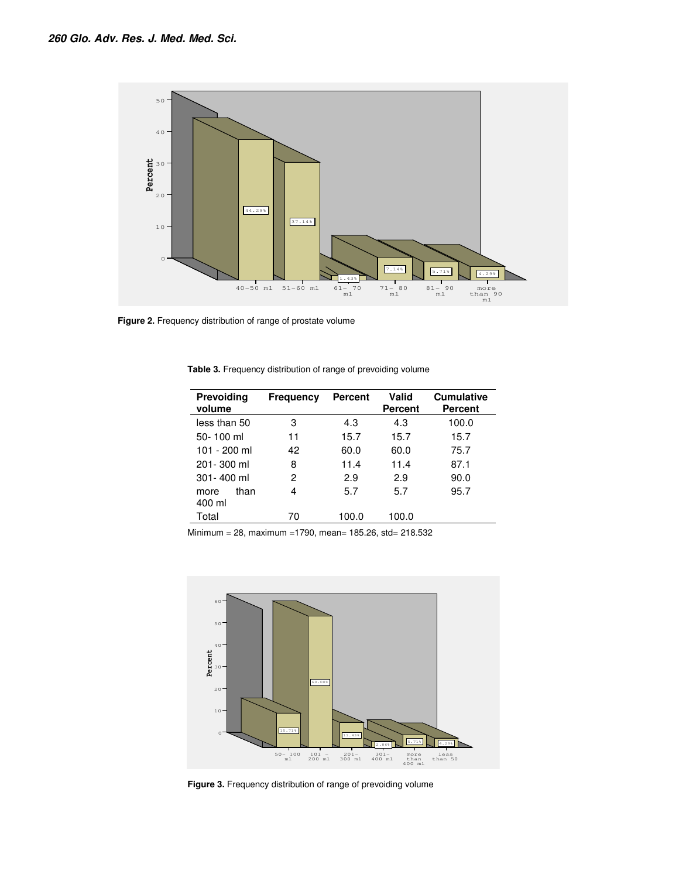

**Figure 2.** Frequency distribution of range of prostate volume

| Prevoiding<br>volume   | <b>Frequency</b> | <b>Percent</b> | Valid<br>Percent | <b>Cumulative</b><br><b>Percent</b> |
|------------------------|------------------|----------------|------------------|-------------------------------------|
| less than 50           | 3                | 4.3            | 4.3              | 100.0                               |
| 50-100 ml              | 11               | 15.7           | 15.7             | 15.7                                |
| 101 - 200 ml           | 42               | 60.0           | 60.0             | 75.7                                |
| 201-300 ml             | 8                | 11.4           | 11.4             | 87.1                                |
| $301 - 400$ ml         | 2                | 2.9            | 2.9              | 90.0                                |
| than<br>more<br>400 ml | 4                | 5.7            | 5.7              | 95.7                                |
| Total                  | 70               | 100.0          | 100.0            |                                     |

**Table 3.** Frequency distribution of range of prevoiding volume

Minimum = 28, maximum =1790, mean= 185.26, std= 218.532



**Figure 3.** Frequency distribution of range of prevoiding volume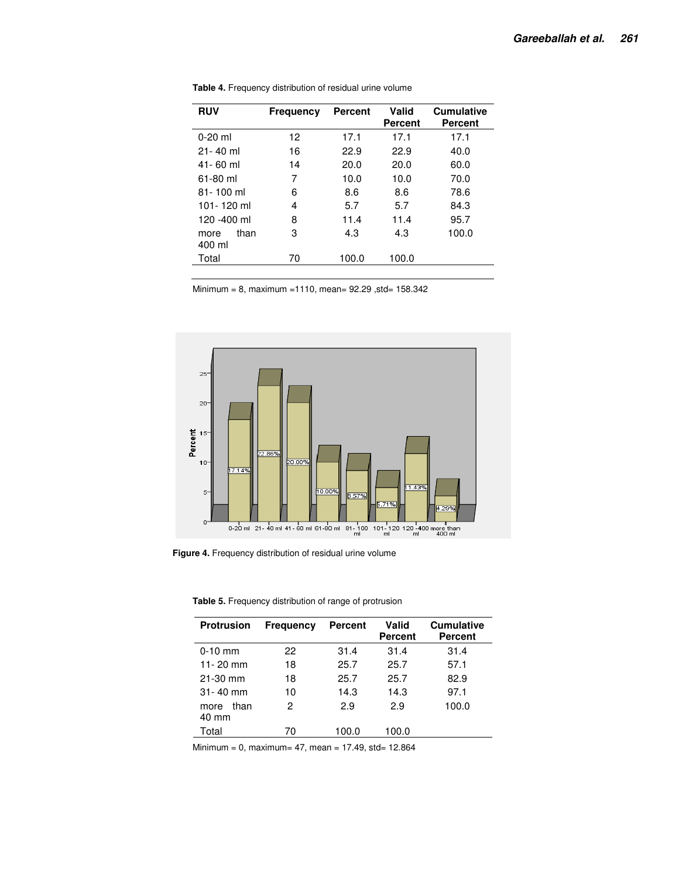| <b>RUV</b>             | <b>Frequency</b> | <b>Percent</b> | Valid<br>Percent | <b>Cumulative</b><br>Percent |
|------------------------|------------------|----------------|------------------|------------------------------|
| $0-20$ ml              | 12               | 17.1           | 17.1             | 17.1                         |
| $21 - 40$ ml           | 16               | 22.9           | 22.9             | 40.0                         |
| $41 - 60$ ml           | 14               | 20.0           | 20.0             | 60.0                         |
| 61-80 ml               | 7                | 10.0           | 10.0             | 70.0                         |
| 81-100 ml              | 6                | 8.6            | 8.6              | 78.6                         |
| 101-120 ml             | 4                | 5.7            | 5.7              | 84.3                         |
| 120 -400 ml            | 8                | 11.4           | 11.4             | 95.7                         |
| than<br>more<br>400 ml | 3                | 4.3            | 4.3              | 100.0                        |
| Total                  | 70               | 100.0          | 100.0            |                              |

**Table 4.** Frequency distribution of residual urine volume

Minimum = 8, maximum =1110, mean= 92.29 ,std= 158.342



**Figure 4.** Frequency distribution of residual urine volume

**Table 5.** Frequency distribution of range of protrusion

| <b>Protrusion</b>     | <b>Frequency</b> | Percent | Valid<br><b>Percent</b> | <b>Cumulative</b><br>Percent |
|-----------------------|------------------|---------|-------------------------|------------------------------|
| $0-10$ mm             | 22               | 31.4    | 31.4                    | 31.4                         |
| 11-20 mm              | 18               | 25.7    | 25.7                    | 57.1                         |
| $21-30$ mm            | 18               | 25.7    | 25.7                    | 82.9                         |
| $31 - 40$ mm          | 10               | 14.3    | 14.3                    | 97.1                         |
| than<br>more<br>40 mm | 2                | 2.9     | 2.9                     | 100.0                        |
| Total                 | 70               | 100.0   | 100.0                   |                              |

 $Minimum = 0$ ,  $maximum = 47$ ,  $mean = 17.49$ ,  $std = 12.864$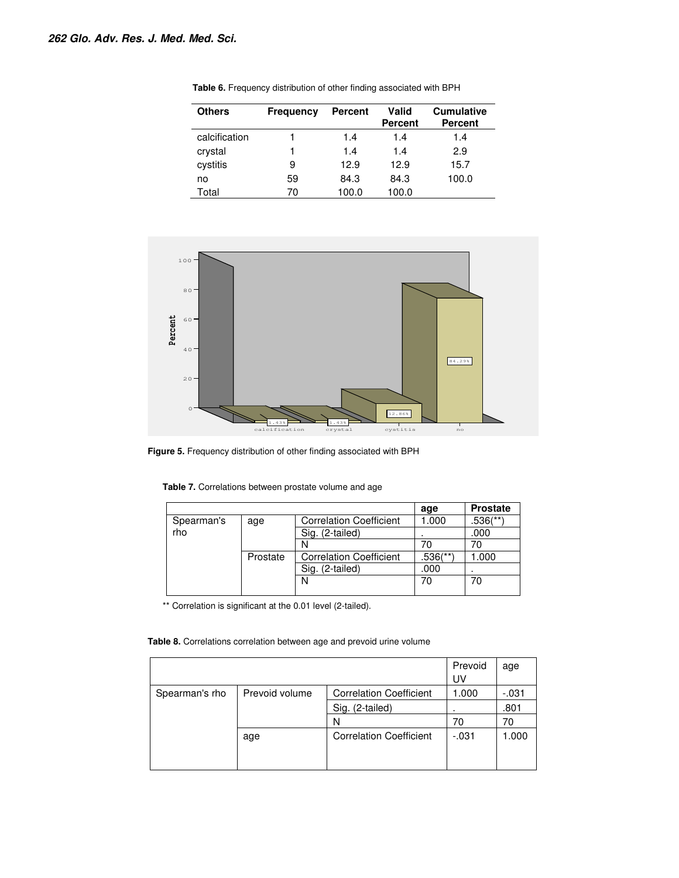l,

| <b>Others</b> | Frequency | <b>Percent</b> | Valid<br><b>Percent</b> | <b>Cumulative</b><br><b>Percent</b> |
|---------------|-----------|----------------|-------------------------|-------------------------------------|
| calcification |           | 1.4            | 1.4                     | 1.4                                 |
| crystal       |           | 1.4            | 1.4                     | 2.9                                 |
| cystitis      | 9         | 12.9           | 12.9                    | 15.7                                |
| no            | 59        | 84.3           | 84.3                    | 100.0                               |
| Total         | 70        | 100.0          | 100.0                   |                                     |

**Table 6.** Frequency distribution of other finding associated with BPH



**Figure 5.** Frequency distribution of other finding associated with BPH

| Table 7. Correlations between prostate volume and age |  |  |  |  |
|-------------------------------------------------------|--|--|--|--|
|-------------------------------------------------------|--|--|--|--|

|            |          |                                | age      | <b>Prostate</b> |
|------------|----------|--------------------------------|----------|-----------------|
| Spearman's | age      | <b>Correlation Coefficient</b> | 1.000    | .536(**)        |
| rho        |          | Sig. (2-tailed)                |          | .000            |
|            |          |                                |          |                 |
|            | Prostate | <b>Correlation Coefficient</b> | .536(**) | 1.000           |
|            |          | Sig. (2-tailed)                | .000     |                 |
|            |          |                                | 70       | 70              |
|            |          |                                |          |                 |

\*\* Correlation is significant at the 0.01 level (2-tailed).

**Table 8.** Correlations correlation between age and prevoid urine volume

|                |                |                                | Prevoid<br>UV | age     |
|----------------|----------------|--------------------------------|---------------|---------|
| Spearman's rho | Prevoid volume | <b>Correlation Coefficient</b> | 1.000         | $-.031$ |
|                |                | Sig. (2-tailed)                |               | .801    |
|                |                | N                              | 70            | 70      |
|                | age            | <b>Correlation Coefficient</b> | $-.031$       | 1.000   |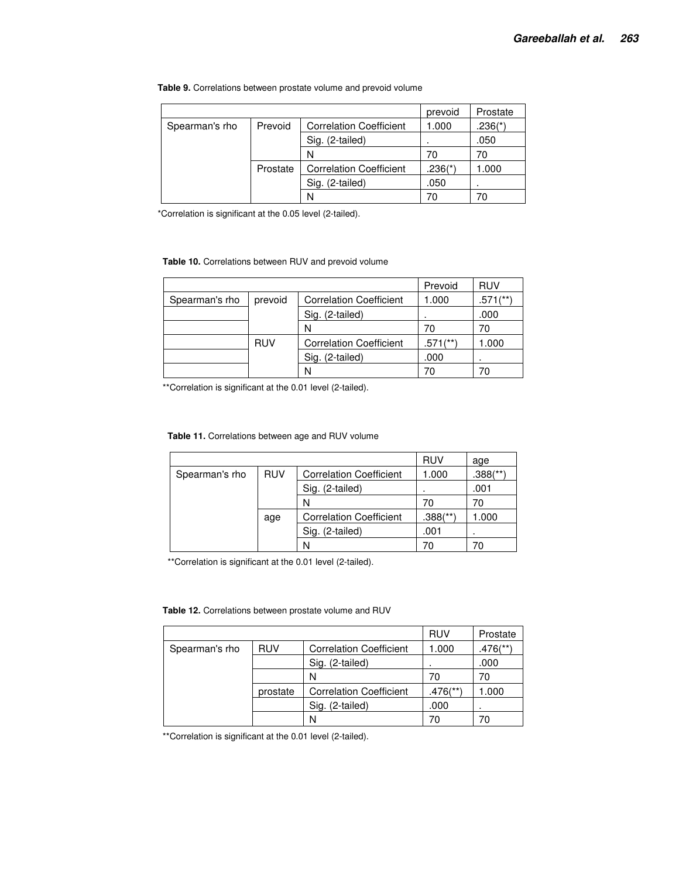|                |          |                                | prevoid   | Prostate  |
|----------------|----------|--------------------------------|-----------|-----------|
| Spearman's rho | Prevoid  | <b>Correlation Coefficient</b> | 1.000     | $.236(*)$ |
|                |          | Sig. (2-tailed)                |           | .050      |
|                |          | N                              | 70        | 70        |
|                | Prostate | <b>Correlation Coefficient</b> | $.236(*)$ | 1.000     |
|                |          | Sig. (2-tailed)                | .050      |           |
|                |          | N                              | 70        | 70        |

**Table 9.** Correlations between prostate volume and prevoid volume

\*Correlation is significant at the 0.05 level (2-tailed).

#### **Table 10.** Correlations between RUV and prevoid volume

|                |            |                                | Prevoid                | <b>RUV</b>             |
|----------------|------------|--------------------------------|------------------------|------------------------|
| Spearman's rho | prevoid    | <b>Correlation Coefficient</b> | 1.000                  | $.571$ <sup>**</sup> ) |
|                |            | Sig. (2-tailed)                |                        | .000                   |
|                |            | N                              | 70                     | 70                     |
|                | <b>RUV</b> | <b>Correlation Coefficient</b> | $.571$ <sup>**</sup> ) | 1.000                  |
|                |            | Sig. (2-tailed)                | .000                   | ٠                      |
|                |            | N                              | 70                     |                        |

\*\*Correlation is significant at the 0.01 level (2-tailed).

**Table 11.** Correlations between age and RUV volume

|                |            |                                | <b>RUV</b>  | age         |
|----------------|------------|--------------------------------|-------------|-------------|
| Spearman's rho | <b>RUV</b> | <b>Correlation Coefficient</b> | 1.000       | $.388$ (**) |
|                |            | (2-tailed)<br>Sig.             |             | .001        |
|                |            | N                              | 70          | 70          |
|                | age        | <b>Correlation Coefficient</b> | $.388$ (**) | 000.        |
|                |            | (2-tailed)                     | .001        |             |
|                |            | N                              | 70          |             |

\*\*Correlation is significant at the 0.01 level (2-tailed).

#### **Table 12.** Correlations between prostate volume and RUV

|                |            |                                | <b>RUV</b>              | Prostate               |
|----------------|------------|--------------------------------|-------------------------|------------------------|
| Spearman's rho | <b>RUV</b> | <b>Correlation Coefficient</b> | 1.000                   | $.476$ <sup>(**)</sup> |
|                |            | Sig. (2-tailed)                |                         | .000                   |
|                |            | N                              | 70                      | 70                     |
|                | prostate   | <b>Correlation Coefficient</b> | $.476$ <sup>(**</sup> ) | 1.000                  |
|                |            | Sig. (2-tailed)                | .000                    |                        |
|                |            | N                              | 70                      |                        |

\*\*Correlation is significant at the 0.01 level (2-tailed).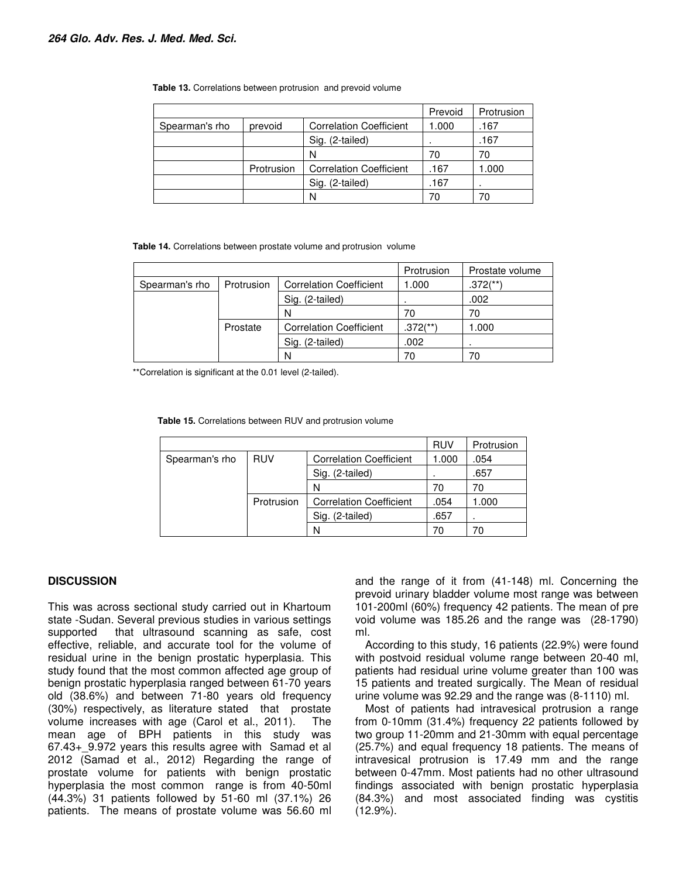| <b>Table 13.</b> Correlations between protrusion and prevoid volume |  |  |
|---------------------------------------------------------------------|--|--|
|---------------------------------------------------------------------|--|--|

|                |            |                                | Prevoid | Protrusion |
|----------------|------------|--------------------------------|---------|------------|
| Spearman's rho | prevoid    | <b>Correlation Coefficient</b> | 1.000   | .167       |
|                |            | Sig. (2-tailed)                | ٠       | .167       |
|                |            | N                              | 70      | 70         |
|                | Protrusion | <b>Correlation Coefficient</b> | .167    | 000.1      |
|                |            | Sig. (2-tailed)                | .167    |            |
|                |            |                                |         |            |

**Table 14.** Correlations between prostate volume and protrusion volume

|                |            |                                | Protrusion             | Prostate volume        |
|----------------|------------|--------------------------------|------------------------|------------------------|
| Spearman's rho | Protrusion | <b>Correlation Coefficient</b> | 1.000                  | $.372$ <sup>**</sup> ) |
|                |            | Sig. (2-tailed)                |                        | .002                   |
|                |            | N                              | 70                     | 70                     |
|                | Prostate   | <b>Correlation Coefficient</b> | $.372$ <sup>(**)</sup> | 1.000                  |
|                |            | Sig. (2-tailed)                | .002                   |                        |
|                |            |                                | 70                     |                        |

\*\*Correlation is significant at the 0.01 level (2-tailed).

**Table 15.** Correlations between RUV and protrusion volume

|                |            |                                | <b>RUV</b> | Protrusion |
|----------------|------------|--------------------------------|------------|------------|
| Spearman's rho | <b>RUV</b> | <b>Correlation Coefficient</b> | 1.000      | .054       |
|                |            | (2-tailed)<br>Sig.             |            | .657       |
|                |            | N                              | 70         | 70         |
|                | Protrusion | <b>Correlation Coefficient</b> | .054       | .000       |
|                |            | (2-tailed)                     | .657       |            |
|                |            | N                              | 70         |            |

#### **DISCUSSION**

This was across sectional study carried out in Khartoum state -Sudan. Several previous studies in various settings supported that ultrasound scanning as safe, cost effective, reliable, and accurate tool for the volume of residual urine in the benign prostatic hyperplasia. This study found that the most common affected age group of benign prostatic hyperplasia ranged between 61-70 years old (38.6%) and between 71-80 years old frequency (30%) respectively, as literature stated that prostate volume increases with age (Carol et al., 2011). The mean age of BPH patients in this study was 67.43+\_9.972 years this results agree with Samad et al 2012 (Samad et al., 2012) Regarding the range of prostate volume for patients with benign prostatic hyperplasia the most common range is from 40-50ml (44.3%) 31 patients followed by 51-60 ml (37.1%) 26 patients. The means of prostate volume was 56.60 ml

and the range of it from (41-148) ml. Concerning the prevoid urinary bladder volume most range was between 101-200ml (60%) frequency 42 patients. The mean of pre void volume was 185.26 and the range was (28-1790) ml.

According to this study, 16 patients (22.9%) were found with postvoid residual volume range between 20-40 ml, patients had residual urine volume greater than 100 was 15 patients and treated surgically. The Mean of residual urine volume was 92.29 and the range was (8-1110) ml.

Most of patients had intravesical protrusion a range from 0-10mm (31.4%) frequency 22 patients followed by two group 11-20mm and 21-30mm with equal percentage (25.7%) and equal frequency 18 patients. The means of intravesical protrusion is 17.49 mm and the range between 0-47mm. Most patients had no other ultrasound findings associated with benign prostatic hyperplasia (84.3%) and most associated finding was cystitis (12.9%).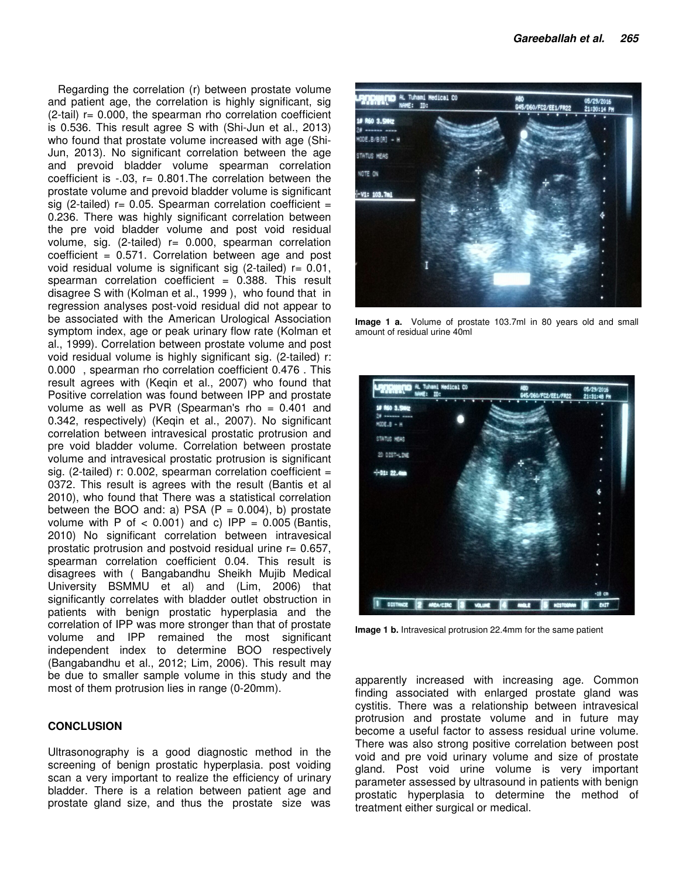Regarding the correlation (r) between prostate volume and patient age, the correlation is highly significant, sig  $(2-tail)$  r= 0.000, the spearman rho correlation coefficient is 0.536. This result agree S with (Shi-Jun et al., 2013) who found that prostate volume increased with age (Shi-Jun, 2013). No significant correlation between the age and prevoid bladder volume spearman correlation coefficient is  $-0.03$ ,  $r = 0.801$ . The correlation between the prostate volume and prevoid bladder volume is significant sig (2-tailed)  $r = 0.05$ . Spearman correlation coefficient = 0.236. There was highly significant correlation between the pre void bladder volume and post void residual volume, sig.  $(2$ -tailed)  $r = 0.000$ , spearman correlation  $coefficient = 0.571$ . Correlation between age and post void residual volume is significant sig (2-tailed)  $r = 0.01$ , spearman correlation coefficient  $= 0.388$ . This result disagree S with (Kolman et al., 1999 ), who found that in regression analyses post-void residual did not appear to be associated with the American Urological Association symptom index, age or peak urinary flow rate (Kolman et al., 1999). Correlation between prostate volume and post void residual volume is highly significant sig. (2-tailed) r: 0.000 , spearman rho correlation coefficient 0.476 . This result agrees with (Keqin et al., 2007) who found that Positive correlation was found between IPP and prostate volume as well as PVR (Spearman's rho = 0.401 and 0.342, respectively) (Keqin et al., 2007). No significant correlation between intravesical prostatic protrusion and pre void bladder volume. Correlation between prostate volume and intravesical prostatic protrusion is significant sig. (2-tailed)  $r: 0.002$ , spearman correlation coefficient = 0372. This result is agrees with the result (Bantis et al 2010), who found that There was a statistical correlation between the BOO and: a) PSA  $(P = 0.004)$ , b) prostate volume with P of  $<$  0.001) and c) IPP = 0.005 (Bantis, 2010) No significant correlation between intravesical prostatic protrusion and postvoid residual urine  $r = 0.657$ , spearman correlation coefficient 0.04. This result is disagrees with ( Bangabandhu Sheikh Mujib Medical University BSMMU et al) and (Lim, 2006) that significantly correlates with bladder outlet obstruction in patients with benign prostatic hyperplasia and the correlation of IPP was more stronger than that of prostate volume and IPP remained the most significant independent index to determine BOO respectively (Bangabandhu et al., 2012; Lim, 2006). This result may be due to smaller sample volume in this study and the most of them protrusion lies in range (0-20mm).

### **CONCLUSION**

Ultrasonography is a good diagnostic method in the screening of benign prostatic hyperplasia. post voiding scan a very important to realize the efficiency of urinary bladder. There is a relation between patient age and prostate gland size, and thus the prostate size was



**Image 1 a.** Volume of prostate 103.7ml in 80 years old and small amount of residual urine 40ml



**Image 1 b.** Intravesical protrusion 22.4mm for the same patient

apparently increased with increasing age. Common finding associated with enlarged prostate gland was cystitis. There was a relationship between intravesical protrusion and prostate volume and in future may become a useful factor to assess residual urine volume. There was also strong positive correlation between post void and pre void urinary volume and size of prostate gland. Post void urine volume is very important parameter assessed by ultrasound in patients with benign prostatic hyperplasia to determine the method of treatment either surgical or medical.